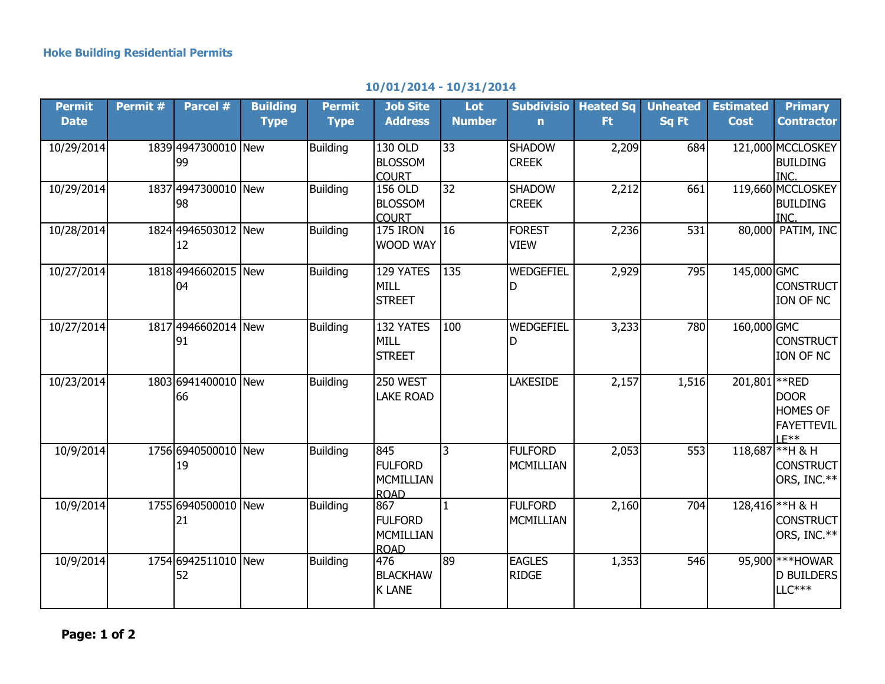## **10/01/2014 - 10/31/2014**

| <b>Permit</b><br><b>Date</b> | Permit # | Parcel #                  | <b>Building</b><br><b>Type</b> | <b>Permit</b><br><b>Type</b> | <b>Job Site</b><br><b>Address</b>                        | Lot<br><b>Number</b> | <b>Subdivisio</b><br>$\mathbf n$ | <b>Heated Sq</b><br>Ft. | <b>Unheated</b><br>Sq Ft | <b>Estimated</b><br><b>Cost</b> | <b>Primary</b><br><b>Contractor</b>                                        |
|------------------------------|----------|---------------------------|--------------------------------|------------------------------|----------------------------------------------------------|----------------------|----------------------------------|-------------------------|--------------------------|---------------------------------|----------------------------------------------------------------------------|
| 10/29/2014                   |          | 1839 4947300010 New<br>99 |                                | <b>Building</b>              | 130 OLD<br><b>BLOSSOM</b><br><b>COURT</b>                | $\overline{33}$      | <b>SHADOW</b><br><b>CREEK</b>    | 2,209                   | 684                      |                                 | 121,000 MCCLOSKEY<br><b>BUILDING</b><br>INC.                               |
| 10/29/2014                   |          | 1837 4947300010 New<br>98 |                                | <b>Building</b>              | 156 OLD<br><b>BLOSSOM</b><br><b>COURT</b>                | 32                   | <b>SHADOW</b><br><b>CREEK</b>    | 2,212                   | 661                      |                                 | 119,660 MCCLOSKEY<br><b>BUILDING</b><br>INC.                               |
| 10/28/2014                   |          | 1824 4946503012 New<br>12 |                                | <b>Building</b>              | 175 IRON<br><b>WOOD WAY</b>                              | $\overline{16}$      | <b>FOREST</b><br><b>VIEW</b>     | 2,236                   | 531                      |                                 | 80,000 PATIM, INC                                                          |
| 10/27/2014                   |          | 1818 4946602015 New<br>04 |                                | <b>Building</b>              | 129 YATES<br><b>MILL</b><br><b>STREET</b>                | 135                  | WEDGEFIEL<br>D                   | 2,929                   | 795                      | 145,000 GMC                     | <b>CONSTRUCT</b><br>ION OF NC                                              |
| 10/27/2014                   |          | 1817 4946602014 New<br>91 |                                | <b>Building</b>              | 132 YATES<br><b>MILL</b><br><b>STREET</b>                | 100                  | WEDGEFIEL<br>D                   | 3,233                   | 780                      | 160,000 GMC                     | <b>CONSTRUCT</b><br>ION OF NC                                              |
| 10/23/2014                   |          | 1803 6941400010 New<br>66 |                                | <b>Building</b>              | 250 WEST<br><b>LAKE ROAD</b>                             |                      | <b>LAKESIDE</b>                  | 2,157                   | 1,516                    | 201,801                         | **RED<br><b>DOOR</b><br><b>HOMES OF</b><br><b>FAYETTEVIL</b><br>$I$ $F$ ** |
| 10/9/2014                    |          | 1756 6940500010 New<br>19 |                                | <b>Building</b>              | 845<br><b>FULFORD</b><br>MCMILLIAN<br><b>ROAD</b>        | 3                    | <b>FULFORD</b><br>MCMILLIAN      | 2,053                   | 553                      |                                 | 118,687 ** H & H<br>CONSTRUCT<br>ORS, INC.**                               |
| 10/9/2014                    |          | 1755 6940500010 New<br>21 |                                | <b>Building</b>              | 867<br><b>FULFORD</b><br><b>MCMILLIAN</b><br><b>ROAD</b> | $\mathbf{1}$         | <b>FULFORD</b><br>MCMILLIAN      | 2,160                   | 704                      |                                 | 128,416 ** H & H<br>CONSTRUCT<br>ORS, INC.**                               |
| 10/9/2014                    |          | 1754 6942511010 New<br>52 |                                | <b>Building</b>              | 476<br><b>BLACKHAW</b><br><b>K LANE</b>                  | 89                   | <b>EAGLES</b><br><b>RIDGE</b>    | 1,353                   | 546                      |                                 | 95,900 *** HOWAR<br>D BUILDERS<br>$LLC***$                                 |